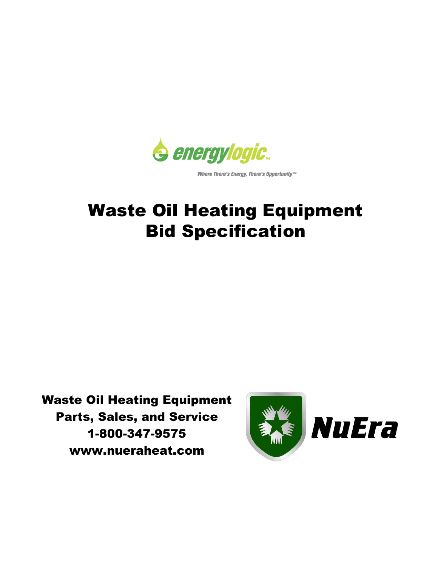

Where There's Energy, There's Opportunity™

# Waste Oil Heating Equipment Bid Specification

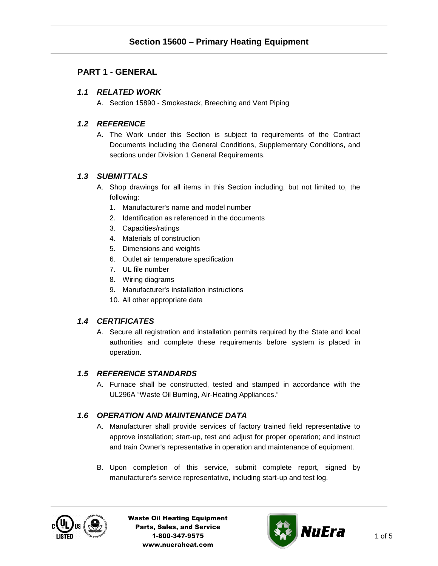# **PART 1 - GENERAL**

## *1.1 RELATED WORK*

A. Section 15890 - Smokestack, Breeching and Vent Piping

## *1.2 REFERENCE*

A. The Work under this Section is subject to requirements of the Contract Documents including the General Conditions, Supplementary Conditions, and sections under Division 1 General Requirements.

## *1.3 SUBMITTALS*

- A. Shop drawings for all items in this Section including, but not limited to, the following:
	- 1. Manufacturer's name and model number
	- 2. Identification as referenced in the documents
	- 3. Capacities/ratings
	- 4. Materials of construction
	- 5. Dimensions and weights
	- 6. Outlet air temperature specification
	- 7. UL file number
	- 8. Wiring diagrams
	- 9. Manufacturer's installation instructions
	- 10. All other appropriate data

#### *1.4 CERTIFICATES*

A. Secure all registration and installation permits required by the State and local authorities and complete these requirements before system is placed in operation.

## *1.5 REFERENCE STANDARDS*

A. Furnace shall be constructed, tested and stamped in accordance with the UL296A "Waste Oil Burning, Air-Heating Appliances."

#### *1.6 OPERATION AND MAINTENANCE DATA*

- A. Manufacturer shall provide services of factory trained field representative to approve installation; start-up, test and adjust for proper operation; and instruct and train Owner's representative in operation and maintenance of equipment.
- B. Upon completion of this service, submit complete report, signed by manufacturer's service representative, including start-up and test log.



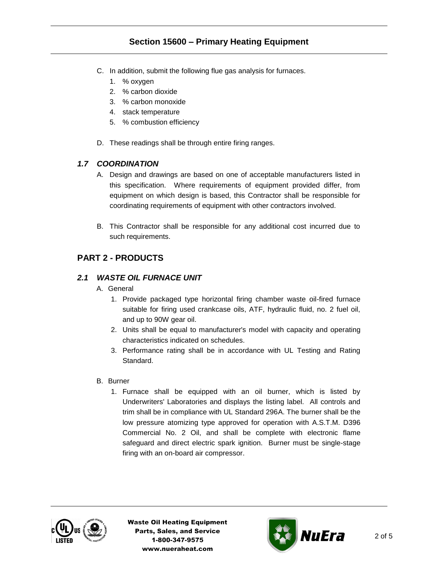# **Section 15600 – Primary Heating Equipment**

- C. In addition, submit the following flue gas analysis for furnaces.
	- 1. % oxygen
	- 2. % carbon dioxide
	- 3. % carbon monoxide
	- 4. stack temperature
	- 5. % combustion efficiency
- D. These readings shall be through entire firing ranges.

## *1.7 COORDINATION*

- A. Design and drawings are based on one of acceptable manufacturers listed in this specification. Where requirements of equipment provided differ, from equipment on which design is based, this Contractor shall be responsible for coordinating requirements of equipment with other contractors involved.
- B. This Contractor shall be responsible for any additional cost incurred due to such requirements.

## **PART 2 - PRODUCTS**

#### *2.1 WASTE OIL FURNACE UNIT*

- A. General
	- 1. Provide packaged type horizontal firing chamber waste oil-fired furnace suitable for firing used crankcase oils, ATF, hydraulic fluid, no. 2 fuel oil, and up to 90W gear oil.
	- 2. Units shall be equal to manufacturer's model with capacity and operating characteristics indicated on schedules.
	- 3. Performance rating shall be in accordance with UL Testing and Rating Standard.
- B. Burner
	- 1. Furnace shall be equipped with an oil burner, which is listed by Underwriters' Laboratories and displays the listing label. All controls and trim shall be in compliance with UL Standard 296A. The burner shall be the low pressure atomizing type approved for operation with A.S.T.M. D396 Commercial No. 2 Oil, and shall be complete with electronic flame safeguard and direct electric spark ignition. Burner must be single-stage firing with an on-board air compressor.



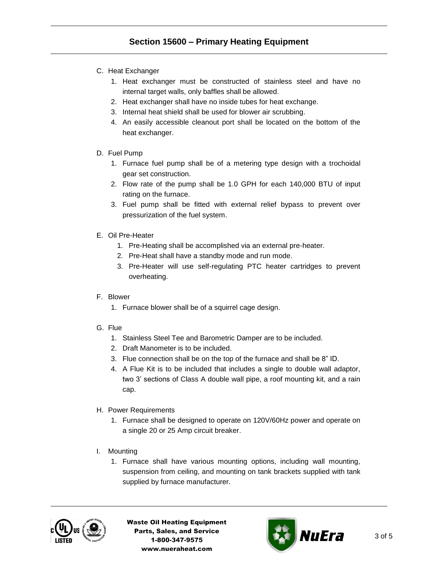- C. Heat Exchanger
	- 1. Heat exchanger must be constructed of stainless steel and have no internal target walls, only baffles shall be allowed.
	- 2. Heat exchanger shall have no inside tubes for heat exchange.
	- 3. Internal heat shield shall be used for blower air scrubbing.
	- 4. An easily accessible cleanout port shall be located on the bottom of the heat exchanger.
- D. Fuel Pump
	- 1. Furnace fuel pump shall be of a metering type design with a trochoidal gear set construction.
	- 2. Flow rate of the pump shall be 1.0 GPH for each 140,000 BTU of input rating on the furnace.
	- 3. Fuel pump shall be fitted with external relief bypass to prevent over pressurization of the fuel system.
- E. Oil Pre-Heater
	- 1. Pre-Heating shall be accomplished via an external pre-heater.
	- 2. Pre-Heat shall have a standby mode and run mode.
	- 3. Pre-Heater will use self-regulating PTC heater cartridges to prevent overheating.
- F. Blower
	- 1. Furnace blower shall be of a squirrel cage design.
- G. Flue
	- 1. Stainless Steel Tee and Barometric Damper are to be included.
	- 2. Draft Manometer is to be included.
	- 3. Flue connection shall be on the top of the furnace and shall be 8" ID.
	- 4. A Flue Kit is to be included that includes a single to double wall adaptor, two 3' sections of Class A double wall pipe, a roof mounting kit, and a rain cap.
- H. Power Requirements
	- 1. Furnace shall be designed to operate on 120V/60Hz power and operate on a single 20 or 25 Amp circuit breaker.
- I. Mounting
	- 1. Furnace shall have various mounting options, including wall mounting, suspension from ceiling, and mounting on tank brackets supplied with tank supplied by furnace manufacturer.



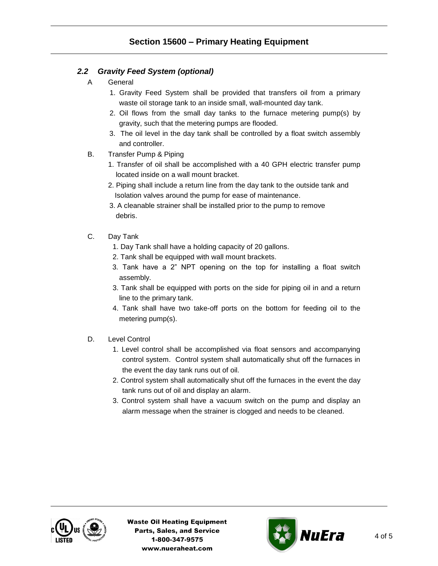## *2.2 Gravity Feed System (optional)*

- A General
	- 1. Gravity Feed System shall be provided that transfers oil from a primary waste oil storage tank to an inside small, wall-mounted day tank.
	- 2. Oil flows from the small day tanks to the furnace metering pump(s) by gravity, such that the metering pumps are flooded.
	- 3. The oil level in the day tank shall be controlled by a float switch assembly and controller.
- B. Transfer Pump & Piping
	- 1. Transfer of oil shall be accomplished with a 40 GPH electric transfer pump located inside on a wall mount bracket.
	- 2. Piping shall include a return line from the day tank to the outside tank and Isolation valves around the pump for ease of maintenance.
	- 3. A cleanable strainer shall be installed prior to the pump to remove debris.
- C. Day Tank
	- 1. Day Tank shall have a holding capacity of 20 gallons.
	- 2. Tank shall be equipped with wall mount brackets.
	- 3. Tank have a 2" NPT opening on the top for installing a float switch assembly.
	- 3. Tank shall be equipped with ports on the side for piping oil in and a return line to the primary tank.
	- 4. Tank shall have two take-off ports on the bottom for feeding oil to the metering pump(s).
- D. Level Control
	- 1. Level control shall be accomplished via float sensors and accompanying control system. Control system shall automatically shut off the furnaces in the event the day tank runs out of oil.
	- 2. Control system shall automatically shut off the furnaces in the event the day tank runs out of oil and display an alarm.
	- 3. Control system shall have a vacuum switch on the pump and display an alarm message when the strainer is clogged and needs to be cleaned.